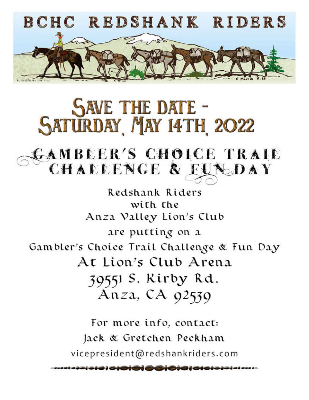

# **SAVE THE DATE -<br>SATURDAY MAY 14TH 2022**

## AMBLER'S CHOICE TRAIL CHALLENGE & FUNDAY

Redshank Riders with the Anza Valley Lion's Club are putting on a Gambler's Choice Trail Challenge & Fun Day At Lion's Club Arena 39551 S. Rirby Rd. Anza, CA 92539

For more info, contact: Jack & Gretchen Peckham vicepresident@redshankriders.com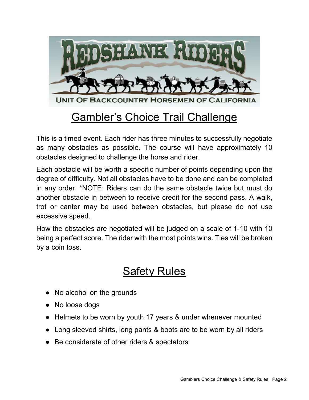

### Gambler's Choice Trail Challenge

This is a timed event. Each rider has three minutes to successfully negotiate as many obstacles as possible. The course will have approximately 10 obstacles designed to challenge the horse and rider.

Each obstacle will be worth a specific number of points depending upon the degree of difficulty. Not all obstacles have to be done and can be completed in any order. \*NOTE: Riders can do the same obstacle twice but must do another obstacle in between to receive credit for the second pass. A walk, trot or canter may be used between obstacles, but please do not use excessive speed.

How the obstacles are negotiated will be judged on a scale of 1-10 with 10 being a perfect score. The rider with the most points wins. Ties will be broken by a coin toss.

#### Safety Rules

- No alcohol on the grounds
- No loose dogs
- Helmets to be worn by youth 17 years & under whenever mounted
- Long sleeved shirts, long pants & boots are to be worn by all riders
- Be considerate of other riders & spectators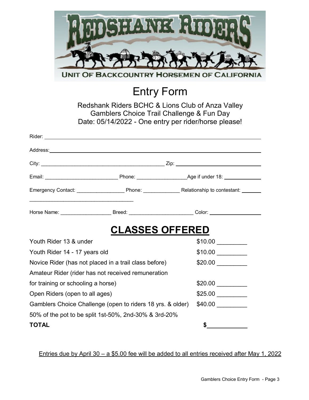

Entry Form

Redshank Riders BCHC & Lions Club of Anza Valley Gamblers Choice Trail Challenge & Fun Day Date: 05/14/2022 - One entry per rider/horse please!

| Address: Address: Address: Address: Address: Address: Address: Address: Address: Address: Address: A |                                                                                                      |  |  |
|------------------------------------------------------------------------------------------------------|------------------------------------------------------------------------------------------------------|--|--|
|                                                                                                      |                                                                                                      |  |  |
|                                                                                                      |                                                                                                      |  |  |
|                                                                                                      |                                                                                                      |  |  |
| the control of the control of the control of the control of the control of the control of            | Horse Name: _________________________Breed: _____________________________Color: ____________________ |  |  |
|                                                                                                      | <b>CLASSES OFFERED</b>                                                                               |  |  |
| Youth Rider 13 & under                                                                               |                                                                                                      |  |  |
| Youth Rider 14 - 17 years old                                                                        |                                                                                                      |  |  |
| Novice Rider (has not placed in a trail class before)                                                |                                                                                                      |  |  |
| Amateur Rider (rider has not received remuneration                                                   |                                                                                                      |  |  |
| for training or schooling a horse)                                                                   |                                                                                                      |  |  |
| Open Riders (open to all ages)                                                                       |                                                                                                      |  |  |
| Gamblers Choice Challenge (open to riders 18 yrs. & older)                                           |                                                                                                      |  |  |
|                                                                                                      | 50% of the pot to be split 1st-50%, 2nd-30% & 3rd-20%                                                |  |  |
| <b>TOTAL</b>                                                                                         | \$                                                                                                   |  |  |

Entries due by April 30 – a \$5.00 fee will be added to all entries received after May 1, 2022